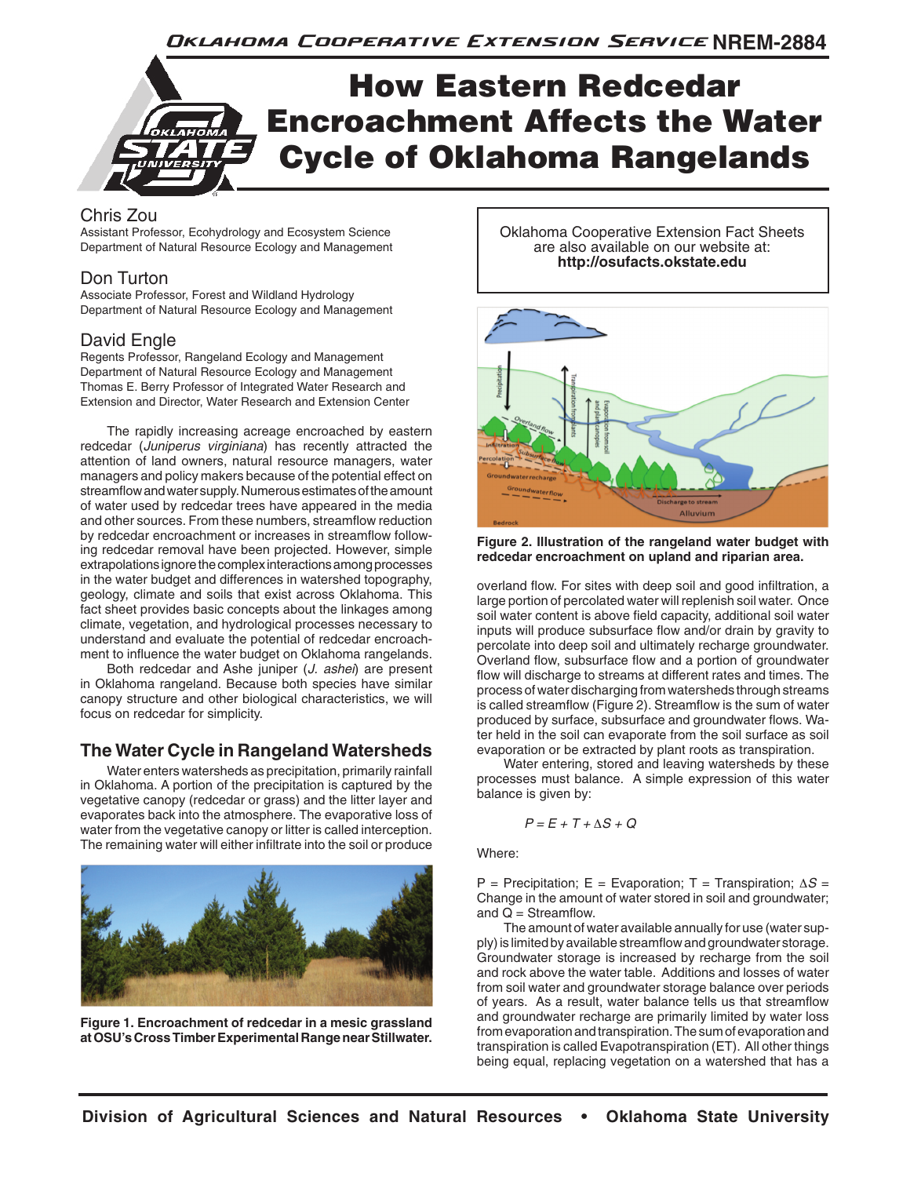# How Eastern Redcedar Encroachment Affects the Water Cycle of Oklahoma Rangelands

## Chris Zou

Assistant Professor, Ecohydrology and Ecosystem Science Department of Natural Resource Ecology and Management

## Don Turton

Associate Professor, Forest and Wildland Hydrology Department of Natural Resource Ecology and Management

## David Engle

Regents Professor, Rangeland Ecology and Management Department of Natural Resource Ecology and Management Thomas E. Berry Professor of Integrated Water Research and Extension and Director, Water Research and Extension Center

The rapidly increasing acreage encroached by eastern redcedar (*Juniperus virginiana*) has recently attracted the attention of land owners, natural resource managers, water managers and policy makers because of the potential effect on streamflow and water supply. Numerous estimates of the amount of water used by redcedar trees have appeared in the media and other sources. From these numbers, streamflow reduction by redcedar encroachment or increases in streamflow following redcedar removal have been projected. However, simple extrapolations ignore the complex interactions among processes in the water budget and differences in watershed topography, geology, climate and soils that exist across Oklahoma. This fact sheet provides basic concepts about the linkages among climate, vegetation, and hydrological processes necessary to understand and evaluate the potential of redcedar encroachment to influence the water budget on Oklahoma rangelands.

Both redcedar and Ashe juniper (*J. ashei*) are present in Oklahoma rangeland. Because both species have similar canopy structure and other biological characteristics, we will focus on redcedar for simplicity.

## **The Water Cycle in Rangeland Watersheds**

Water enters watersheds as precipitation, primarily rainfall in Oklahoma. A portion of the precipitation is captured by the vegetative canopy (redcedar or grass) and the litter layer and evaporates back into the atmosphere. The evaporative loss of water from the vegetative canopy or litter is called interception. The remaining water will either infiltrate into the soil or produce



**Figure 1. Encroachment of redcedar in a mesic grassland at OSU's Cross Timber Experimental Range near Stillwater.** 

Oklahoma Cooperative Extension Fact Sheets are also available on our website at: **http://osufacts.okstate.edu**



**Figure 2. Illustration of the rangeland water budget with redcedar encroachment on upland and riparian area.**

overland flow. For sites with deep soil and good infiltration, a large portion of percolated water will replenish soil water. Once soil water content is above field capacity, additional soil water inputs will produce subsurface flow and/or drain by gravity to percolate into deep soil and ultimately recharge groundwater. Overland flow, subsurface flow and a portion of groundwater flow will discharge to streams at different rates and times. The process of water discharging from watersheds through streams is called streamflow (Figure 2). Streamflow is the sum of water produced by surface, subsurface and groundwater flows. Water held in the soil can evaporate from the soil surface as soil evaporation or be extracted by plant roots as transpiration.

Water entering, stored and leaving watersheds by these processes must balance. A simple expression of this water balance is given by:

$$
P = E + T + \Delta S + Q
$$

Where:

P = Precipitation; E = Evaporation; T = Transpiration; ∆*S* = Change in the amount of water stored in soil and groundwater; and  $Q =$  Streamflow.

The amount of water available annually for use (water supply) is limited by available streamflow and groundwater storage. Groundwater storage is increased by recharge from the soil and rock above the water table. Additions and losses of water from soil water and groundwater storage balance over periods of years. As a result, water balance tells us that streamflow and groundwater recharge are primarily limited by water loss from evaporation and transpiration. The sum of evaporation and transpiration is called Evapotranspiration (ET). All other things being equal, replacing vegetation on a watershed that has a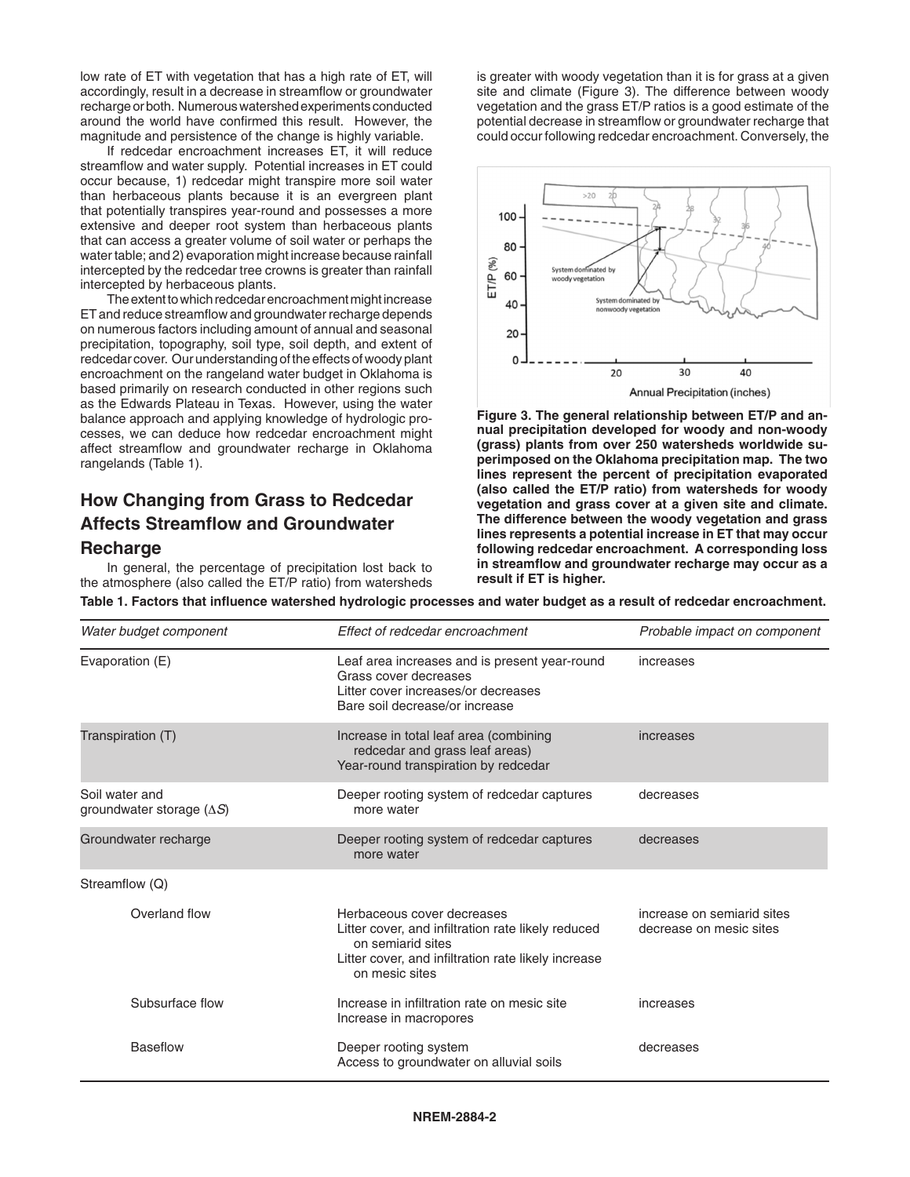low rate of ET with vegetation that has a high rate of ET, will accordingly, result in a decrease in streamflow or groundwater recharge or both. Numerous watershed experiments conducted around the world have confirmed this result. However, the magnitude and persistence of the change is highly variable.

If redcedar encroachment increases ET, it will reduce streamflow and water supply. Potential increases in ET could occur because, 1) redcedar might transpire more soil water than herbaceous plants because it is an evergreen plant that potentially transpires year-round and possesses a more extensive and deeper root system than herbaceous plants that can access a greater volume of soil water or perhaps the water table; and 2) evaporation might increase because rainfall intercepted by the redcedar tree crowns is greater than rainfall intercepted by herbaceous plants.

The extent to which redcedar encroachment might increase ET and reduce streamflow and groundwater recharge depends on numerous factors including amount of annual and seasonal precipitation, topography, soil type, soil depth, and extent of redcedar cover. Our understanding of the effects of woody plant encroachment on the rangeland water budget in Oklahoma is based primarily on research conducted in other regions such as the Edwards Plateau in Texas. However, using the water balance approach and applying knowledge of hydrologic processes, we can deduce how redcedar encroachment might affect streamflow and groundwater recharge in Oklahoma rangelands (Table 1).

# **How Changing from Grass to Redcedar Affects Streamflow and Groundwater Recharge**

In general, the percentage of precipitation lost back to the atmosphere (also called the ET/P ratio) from watersheds is greater with woody vegetation than it is for grass at a given site and climate (Figure 3). The difference between woody vegetation and the grass ET/P ratios is a good estimate of the potential decrease in streamflow or groundwater recharge that could occur following redcedar encroachment. Conversely, the



**Figure 3. The general relationship between ET/P and annual precipitation developed for woody and non-woody (grass) plants from over 250 watersheds worldwide superimposed on the Oklahoma precipitation map. The two lines represent the percent of precipitation evaporated (also called the ET/P ratio) from watersheds for woody vegetation and grass cover at a given site and climate. The difference between the woody vegetation and grass lines represents a potential increase in ET that may occur following redcedar encroachment. A corresponding loss in streamflow and groundwater recharge may occur as a result if ET is higher.**

**Table 1. Factors that influence watershed hydrologic processes and water budget as a result of redcedar encroachment.**

| Water budget component                             | Effect of redcedar encroachment                                                                                                                                                | Probable impact on component                          |
|----------------------------------------------------|--------------------------------------------------------------------------------------------------------------------------------------------------------------------------------|-------------------------------------------------------|
| Evaporation (E)                                    | Leaf area increases and is present year-round<br>Grass cover decreases<br>Litter cover increases/or decreases<br>Bare soil decrease/or increase                                | increases                                             |
| Transpiration (T)                                  | Increase in total leaf area (combining<br>redcedar and grass leaf areas)<br>Year-round transpiration by redcedar                                                               | increases                                             |
| Soil water and<br>groundwater storage $(\Delta S)$ | Deeper rooting system of redcedar captures<br>more water                                                                                                                       | decreases                                             |
| Groundwater recharge                               | Deeper rooting system of redcedar captures<br>more water                                                                                                                       | decreases                                             |
| Streamflow (Q)                                     |                                                                                                                                                                                |                                                       |
| Overland flow                                      | Herbaceous cover decreases<br>Litter cover, and infiltration rate likely reduced<br>on semiarid sites<br>Litter cover, and infiltration rate likely increase<br>on mesic sites | increase on semiarid sites<br>decrease on mesic sites |
| Subsurface flow                                    | Increase in infiltration rate on mesic site<br>Increase in macropores                                                                                                          | increases                                             |
| <b>Baseflow</b>                                    | Deeper rooting system<br>Access to groundwater on alluvial soils                                                                                                               | decreases                                             |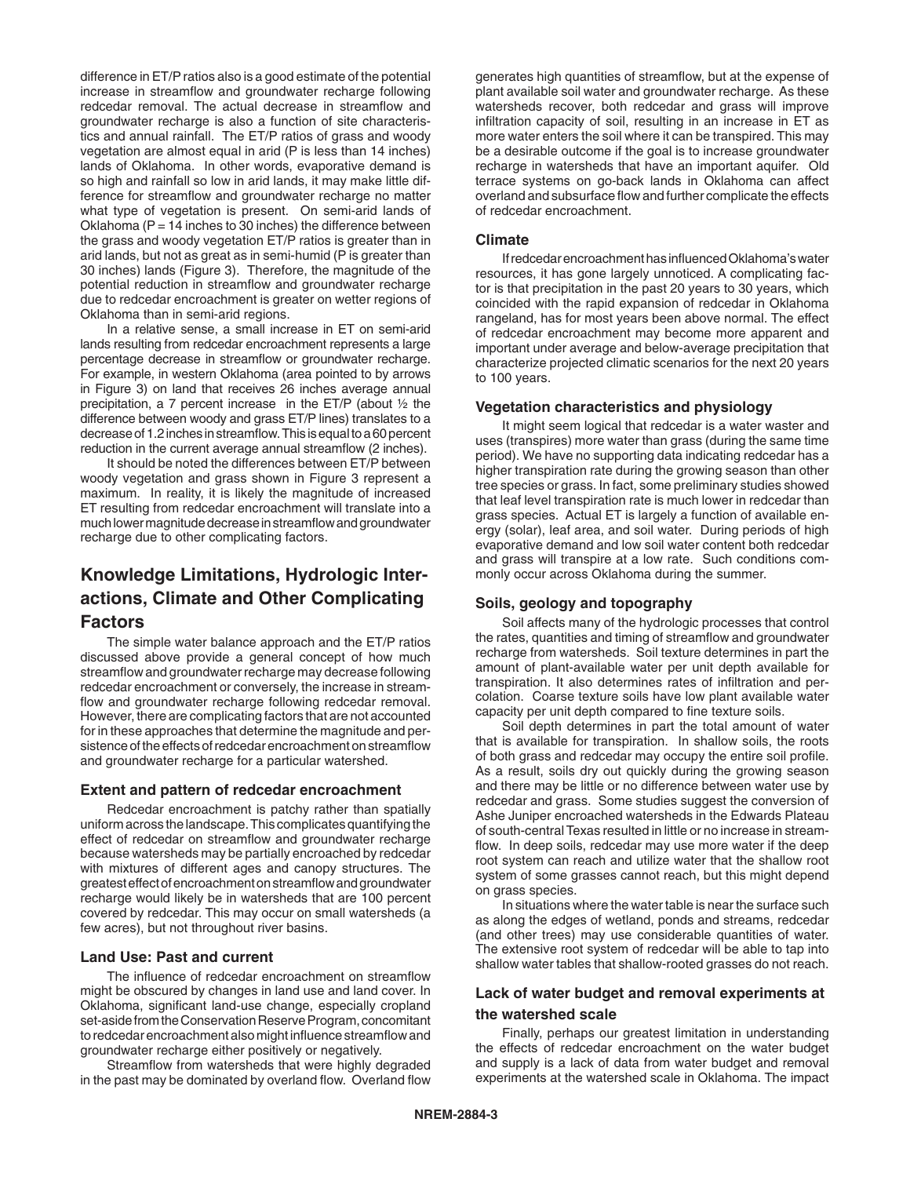difference in ET/P ratios also is a good estimate of the potential increase in streamflow and groundwater recharge following redcedar removal. The actual decrease in streamflow and groundwater recharge is also a function of site characteristics and annual rainfall. The ET/P ratios of grass and woody vegetation are almost equal in arid (P is less than 14 inches) lands of Oklahoma. In other words, evaporative demand is so high and rainfall so low in arid lands, it may make little difference for streamflow and groundwater recharge no matter what type of vegetation is present. On semi-arid lands of Oklahoma ( $P = 14$  inches to 30 inches) the difference between the grass and woody vegetation ET/P ratios is greater than in arid lands, but not as great as in semi-humid (P is greater than 30 inches) lands (Figure 3). Therefore, the magnitude of the potential reduction in streamflow and groundwater recharge due to redcedar encroachment is greater on wetter regions of Oklahoma than in semi-arid regions.

In a relative sense, a small increase in ET on semi-arid lands resulting from redcedar encroachment represents a large percentage decrease in streamflow or groundwater recharge. For example, in western Oklahoma (area pointed to by arrows in Figure 3) on land that receives 26 inches average annual precipitation, a 7 percent increase in the ET/P (about ½ the difference between woody and grass ET/P lines) translates to a decrease of 1.2 inches in streamflow. This is equal to a 60 percent reduction in the current average annual streamflow (2 inches).

It should be noted the differences between ET/P between woody vegetation and grass shown in Figure 3 represent a maximum. In reality, it is likely the magnitude of increased ET resulting from redcedar encroachment will translate into a much lower magnitude decrease in streamflow and groundwater recharge due to other complicating factors.

## **Knowledge Limitations, Hydrologic Interactions, Climate and Other Complicating Factors**

The simple water balance approach and the ET/P ratios discussed above provide a general concept of how much streamflow and groundwater recharge may decrease following redcedar encroachment or conversely, the increase in streamflow and groundwater recharge following redcedar removal. However, there are complicating factors that are not accounted for in these approaches that determine the magnitude and persistence of the effects of redcedar encroachment on streamflow and groundwater recharge for a particular watershed.

#### **Extent and pattern of redcedar encroachment**

Redcedar encroachment is patchy rather than spatially uniform across the landscape. This complicates quantifying the effect of redcedar on streamflow and groundwater recharge because watersheds may be partially encroached by redcedar with mixtures of different ages and canopy structures. The greatest effect of encroachment on streamflow and groundwater recharge would likely be in watersheds that are 100 percent covered by redcedar. This may occur on small watersheds (a few acres), but not throughout river basins.

#### **Land Use: Past and current**

The influence of redcedar encroachment on streamflow might be obscured by changes in land use and land cover. In Oklahoma, significant land-use change, especially cropland set-aside from the Conservation Reserve Program, concomitant to redcedar encroachment also might influence streamflow and groundwater recharge either positively or negatively.

Streamflow from watersheds that were highly degraded in the past may be dominated by overland flow. Overland flow

generates high quantities of streamflow, but at the expense of plant available soil water and groundwater recharge. As these watersheds recover, both redcedar and grass will improve infiltration capacity of soil, resulting in an increase in ET as more water enters the soil where it can be transpired. This may be a desirable outcome if the goal is to increase groundwater recharge in watersheds that have an important aquifer. Old terrace systems on go-back lands in Oklahoma can affect overland and subsurface flow and further complicate the effects of redcedar encroachment.

#### **Climate**

If redcedar encroachment has influenced Oklahoma's water resources, it has gone largely unnoticed. A complicating factor is that precipitation in the past 20 years to 30 years, which coincided with the rapid expansion of redcedar in Oklahoma rangeland, has for most years been above normal. The effect of redcedar encroachment may become more apparent and important under average and below-average precipitation that characterize projected climatic scenarios for the next 20 years to 100 years.

#### **Vegetation characteristics and physiology**

It might seem logical that redcedar is a water waster and uses (transpires) more water than grass (during the same time period). We have no supporting data indicating redcedar has a higher transpiration rate during the growing season than other tree species or grass. In fact, some preliminary studies showed that leaf level transpiration rate is much lower in redcedar than grass species. Actual ET is largely a function of available energy (solar), leaf area, and soil water. During periods of high evaporative demand and low soil water content both redcedar and grass will transpire at a low rate. Such conditions commonly occur across Oklahoma during the summer.

#### **Soils, geology and topography**

Soil affects many of the hydrologic processes that control the rates, quantities and timing of streamflow and groundwater recharge from watersheds. Soil texture determines in part the amount of plant-available water per unit depth available for transpiration. It also determines rates of infiltration and percolation. Coarse texture soils have low plant available water capacity per unit depth compared to fine texture soils.

Soil depth determines in part the total amount of water that is available for transpiration. In shallow soils, the roots of both grass and redcedar may occupy the entire soil profile. As a result, soils dry out quickly during the growing season and there may be little or no difference between water use by redcedar and grass. Some studies suggest the conversion of Ashe Juniper encroached watersheds in the Edwards Plateau of south-central Texas resulted in little or no increase in streamflow. In deep soils, redcedar may use more water if the deep root system can reach and utilize water that the shallow root system of some grasses cannot reach, but this might depend on grass species.

In situations where the water table is near the surface such as along the edges of wetland, ponds and streams, redcedar (and other trees) may use considerable quantities of water. The extensive root system of redcedar will be able to tap into shallow water tables that shallow-rooted grasses do not reach.

### **Lack of water budget and removal experiments at the watershed scale**

Finally, perhaps our greatest limitation in understanding the effects of redcedar encroachment on the water budget and supply is a lack of data from water budget and removal experiments at the watershed scale in Oklahoma. The impact